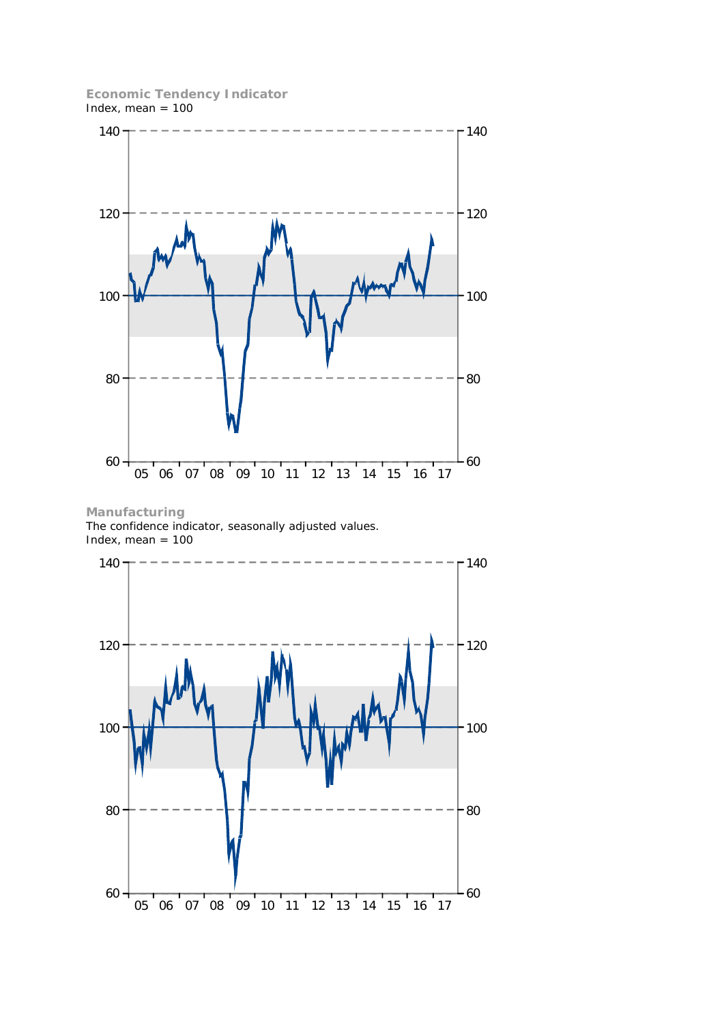**Economic Tendency Indicator** Index, mean  $= 100$ 



**Manufacturing** The confidence indicator, seasonally adjusted values. Index, mean  $= 100$ 

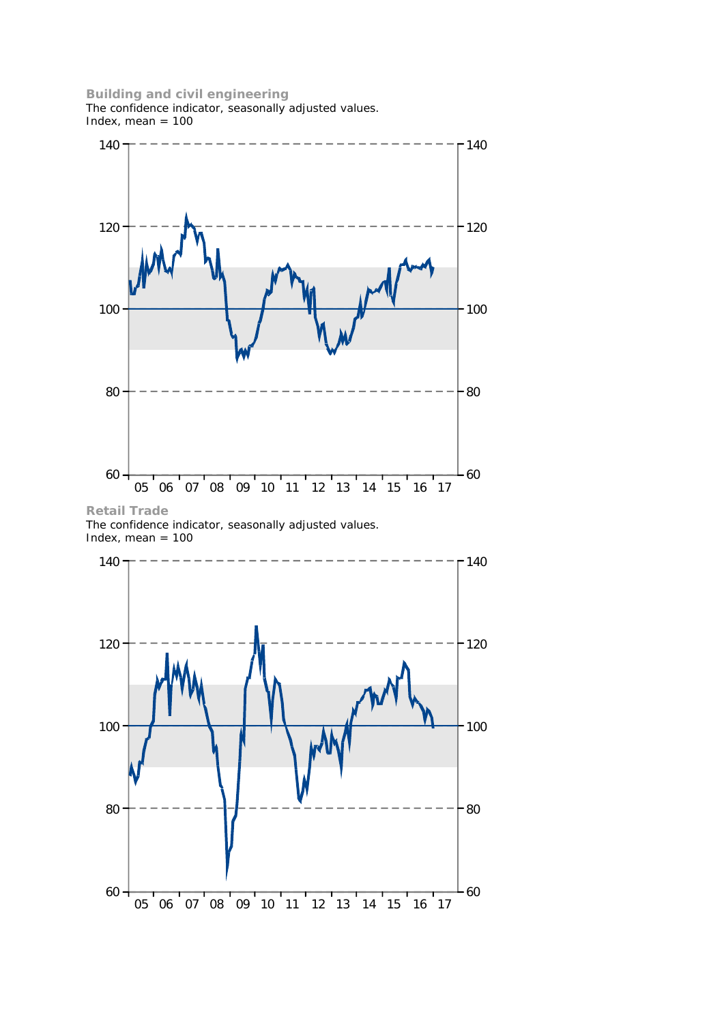## **Building and civil engineering**

The confidence indicator, seasonally adjusted values. Index, mean  $= 100$ 



**Retail Trade** The confidence indicator, seasonally adjusted values. Index, mean  $= 100$